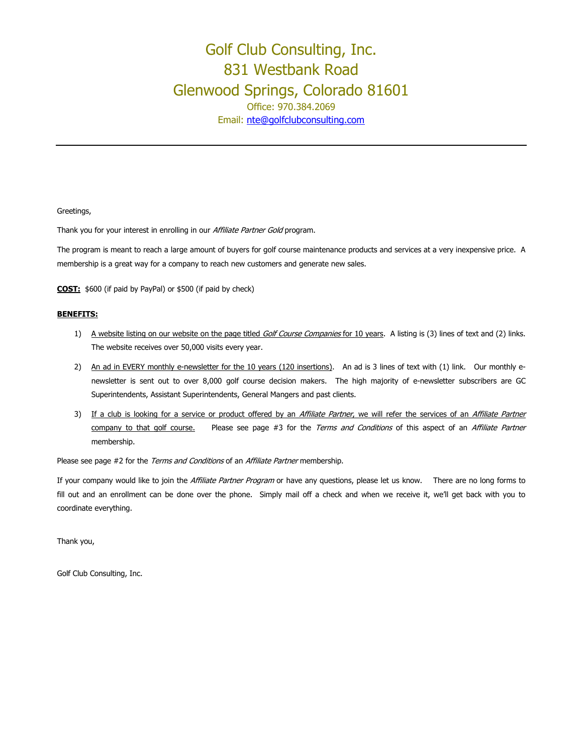## Golf Club Consulting, Inc. 831 Westbank Road Glenwood Springs, Colorado 81601 Office: 970.384.2069 Email: [nte@golfclubconsulting.com](mailto:nte@golfclubconsulting.com)

Greetings,

Thank you for your interest in enrolling in our Affiliate Partner Gold program.

The program is meant to reach a large amount of buyers for golf course maintenance products and services at a very inexpensive price. A membership is a great way for a company to reach new customers and generate new sales.

**COST:** \$600 (if paid by PayPal) or \$500 (if paid by check)

#### **BENEFITS:**

- 1) A website listing on our website on the page titled Golf Course Companies for 10 years. A listing is (3) lines of text and (2) links. The website receives over 50,000 visits every year.
- 2) An ad in EVERY monthly e-newsletter for the 10 years (120 insertions). An ad is 3 lines of text with (1) link. Our monthly enewsletter is sent out to over 8,000 golf course decision makers. The high majority of e-newsletter subscribers are GC Superintendents, Assistant Superintendents, General Mangers and past clients.
- 3) If a club is looking for a service or product offered by an Affiliate Partner, we will refer the services of an Affiliate Partner company to that golf course. Please see page #3 for the Terms and Conditions of this aspect of an Affiliate Partner membership.

Please see page #2 for the Terms and Conditions of an Affiliate Partner membership.

If your company would like to join the Affiliate Partner Program or have any questions, please let us know. There are no long forms to fill out and an enrollment can be done over the phone. Simply mail off a check and when we receive it, we'll get back with you to coordinate everything.

Thank you,

Golf Club Consulting, Inc.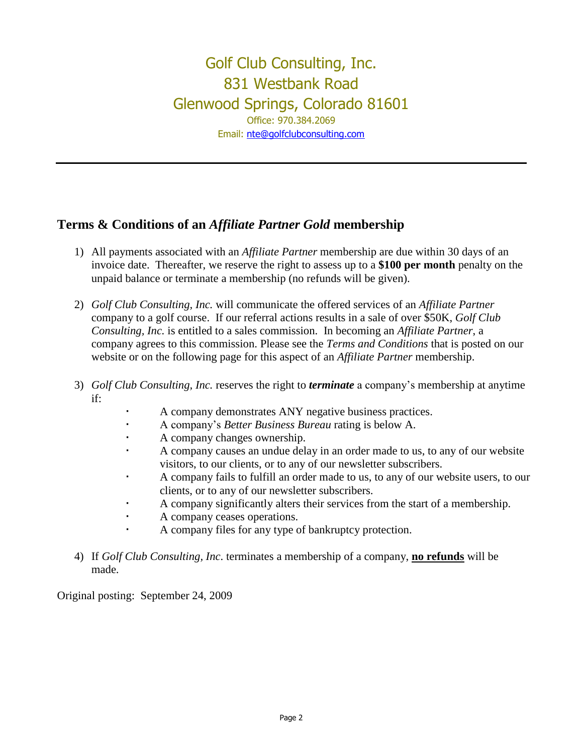# Golf Club Consulting, Inc. 831 Westbank Road Glenwood Springs, Colorado 81601 Office: 970.384.2069 Email: [nte@golfclubconsulting.com](mailto:nte@golfclubconsulting.com)

### **Terms & Conditions of an** *Affiliate Partner Gold* **membership**

- 1) All payments associated with an *Affiliate Partner* membership are due within 30 days of an invoice date. Thereafter, we reserve the right to assess up to a **\$100 per month** penalty on the unpaid balance or terminate a membership (no refunds will be given).
- 2) *Golf Club Consulting, Inc.* will communicate the offered services of an *Affiliate Partner* company to a golf course. If our referral actions results in a sale of over \$50K, *Golf Club Consulting, Inc.* is entitled to a sales commission. In becoming an *Affiliate Partner*, a company agrees to this commission. Please see the *Terms and Conditions* that is posted on our website or on the following page for this aspect of an *Affiliate Partner* membership.
- 3) *Golf Club Consulting, Inc.* reserves the right to *terminate* a company's membership at anytime if:
	- A company demonstrates ANY negative business practices.
	- A company's *Better Business Bureau* rating is below A.
	- A company changes ownership.
	- A company causes an undue delay in an order made to us, to any of our website visitors, to our clients, or to any of our newsletter subscribers.
	- A company fails to fulfill an order made to us, to any of our website users, to our clients, or to any of our newsletter subscribers.
	- A company significantly alters their services from the start of a membership.
	- A company ceases operations.
	- A company files for any type of bankruptcy protection.
- 4) If *Golf Club Consulting, Inc*. terminates a membership of a company, **no refunds** will be made.

Original posting: September 24, 2009